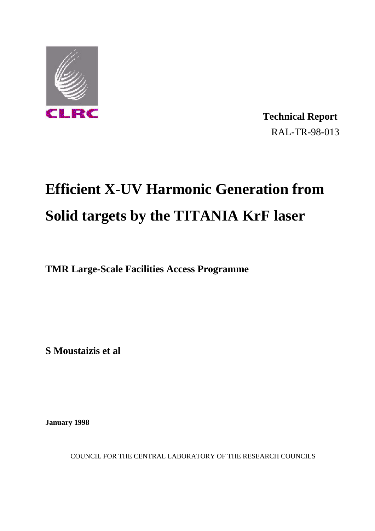

 **Technical Report** RAL-TR-98-013

## **Efficient X-UV Harmonic Generation from Solid targets by the TITANIA KrF laser**

**TMR Large-Scale Facilities Access Programme**

**S Moustaizis et al**

**January 1998**

COUNCIL FOR THE CENTRAL LABORATORY OF THE RESEARCH COUNCILS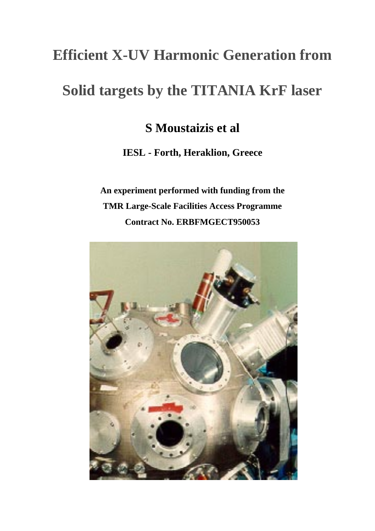## **Efficient X-UV Harmonic Generation from**

## **Solid targets by the TITANIA KrF laser**

### **S Moustaizis et al**

**IESL - Forth, Heraklion, Greece**

**An experiment performed with funding from the TMR Large-Scale Facilities Access Programme Contract No. ERBFMGECT950053**

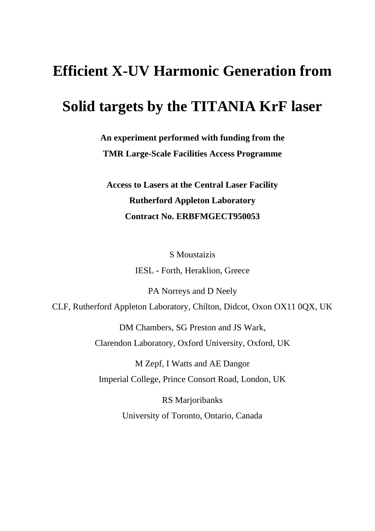# **Efficient X-UV Harmonic Generation from**

## **Solid targets by the TITANIA KrF laser**

**An experiment performed with funding from the TMR Large-Scale Facilities Access Programme**

**Access to Lasers at the Central Laser Facility Rutherford Appleton Laboratory Contract No. ERBFMGECT950053**

> S Moustaizis IESL - Forth, Heraklion, Greece

PA Norreys and D Neely CLF, Rutherford Appleton Laboratory, Chilton, Didcot, Oxon OX11 0QX, UK

> DM Chambers, SG Preston and JS Wark, Clarendon Laboratory, Oxford University, Oxford, UK

M Zepf, I Watts and AE Dangor Imperial College, Prince Consort Road, London, UK

> RS Marjoribanks University of Toronto, Ontario, Canada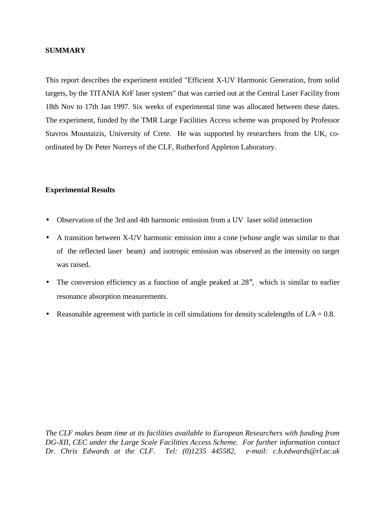#### **SUMMARY**

This report describes the experiment entitled "Efficient X-UV Harmonic Generation, from solid targets, by the TITANIA KrF laser system" that was carried out at the Central Laser Facility from 18th Nov to 17th Jan 1997. Six weeks of experimental time was allocated between these dates. The experiment, funded by the TMR Large Facilities Access scheme was proposed by Professor Stavros Moustaizis, University of Crete. He was supported by researchers from the UK, coordinated by Dr Peter Norreys of the CLF, Rutherford Appleton Laboratory.

#### **Experimental Results**

- Observation of the 3rd and 4th harmonic emission from a UV laser solid interaction
- A transition between X-UV harmonic emission into a cone (whose angle was similar to that of the reflected laser beam) and isotropic emission was observed as the intensity on target was raised.
- The conversion efficiency as a function of angle peaked at 28°, which is similar to earlier resonance absorption measurements.
- Reasonable agreement with particle in cell simulations for density scalelengths of  $L/\lambda = 0.8$ .

*The CLF makes beam time at its facilities available to European Researchers with funding from DG-XII, CEC under the Large Scale Facilities Access Scheme. For further information contact Dr. Chris Edwards at the CLF. Tel: (0)1235 445582, e-mail: c.b.edwards@rl.ac.uk*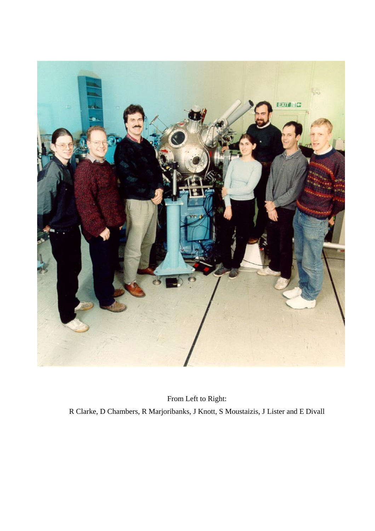

From Left to Right: R Clarke, D Chambers, R Marjoribanks, J Knott, S Moustaizis, J Lister and E Divall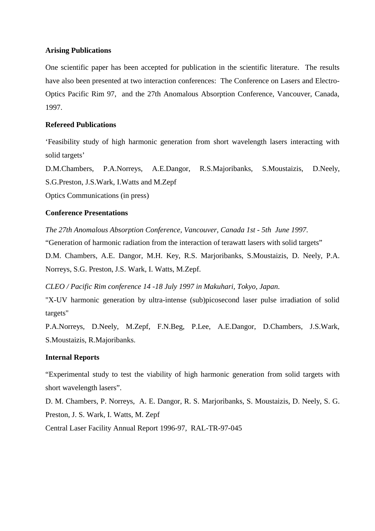#### **Arising Publications**

One scientific paper has been accepted for publication in the scientific literature. The results have also been presented at two interaction conferences: The Conference on Lasers and Electro-Optics Pacific Rim 97, and the 27th Anomalous Absorption Conference, Vancouver, Canada, 1997.

#### **Refereed Publications**

'Feasibility study of high harmonic generation from short wavelength lasers interacting with solid targets'

D.M.Chambers, P.A.Norreys, A.E.Dangor, R.S.Majoribanks, S.Moustaizis, D.Neely, S.G.Preston, J.S.Wark, I.Watts and M.Zepf

Optics Communications (in press)

#### **Conference Presentations**

*The 27th Anomalous Absorption Conference, Vancouver, Canada 1st - 5th June 1997*. "Generation of harmonic radiation from the interaction of terawatt lasers with solid targets" D.M. Chambers, A.E. Dangor, M.H. Key, R.S. Marjoribanks, S.Moustaizis, D. Neely, P.A. Norreys, S.G. Preston, J.S. Wark, I. Watts, M.Zepf.

*CLEO / Pacific Rim conference 14 -18 July 1997 in Makuhari, Tokyo, Japan*.

"X-UV harmonic generation by ultra-intense (sub)picosecond laser pulse irradiation of solid targets"

P.A.Norreys, D.Neely, M.Zepf, F.N.Beg, P.Lee, A.E.Dangor, D.Chambers, J.S.Wark, S.Moustaizis, R.Majoribanks.

#### **Internal Reports**

"Experimental study to test the viability of high harmonic generation from solid targets with short wavelength lasers".

D. M. Chambers, P. Norreys, A. E. Dangor, R. S. Marjoribanks, S. Moustaizis, D. Neely, S. G. Preston, J. S. Wark, I. Watts, M. Zepf

Central Laser Facility Annual Report 1996-97, RAL-TR-97-045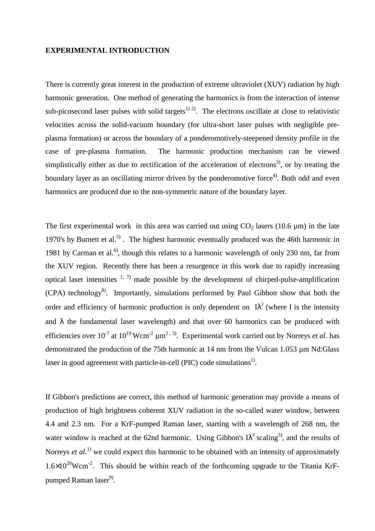#### **EXPERIMENTAL INTRODUCTION**

There is currently great interest in the production of extreme ultraviolet (XUV) radiation by high harmonic generation. One method of generating the harmonics is from the interaction of intense sub-picosecond laser pulses with solid targets<sup>1) 2)</sup>. The electrons oscillate at close to relativistic velocities across the solid-vacuum boundary (for ultra-short laser pulses with negligible preplasma formation) or across the boundary of a ponderomotively-steepened density profile in the case of pre-plasma formation. The harmonic production mechanism can be viewed simplistically either as due to rectification of the acceleration of electrons<sup>3)</sup>, or by treating the boundary layer as an oscillating mirror driven by the ponderomotive force<sup>4)</sup>. Both odd and even harmonics are produced due to the non-symmetric nature of the boundary layer.

The first experimental work in this area was carried out using  $CO<sub>2</sub>$  lasers (10.6 µm) in the late 1970's by Burnett et al.<sup>5)</sup>. The highest harmonic eventually produced was the 46th harmonic in 1981 by Carman et al.<sup>6)</sup>, though this relates to a harmonic wavelength of only 230 nm, far from the XUV region. Recently there has been a resurgence in this work due to rapidly increasing optical laser intensities  $1, 7$  made possible by the development of chirped-pulse-amplification (CPA) technology8). Importantly, simulations performed by Paul Gibbon show that both the order and efficiency of harmonic production is only dependent on  $I\lambda^2$  (where I is the intensity and  $\lambda$  the fundamental laser wavelength) and that over 60 harmonics can be produced with efficiencies over  $10^{-7}$  at  $10^{19}$  Wcm<sup>-2</sup>  $\mu$ m<sup>2,3)</sup>. Experimental work carried out by Norreys *et al.* has demonstrated the production of the 75th harmonic at 14 nm from the Vulcan 1.053 µm Nd:Glass laser in good agreement with particle-in-cell (PIC) code simulations<sup>1)</sup>.

If Gibbon's predictions are correct, this method of harmonic generation may provide a means of production of high brightness coherent XUV radiation in the so-called water window, between 4.4 and 2.3 nm. For a KrF-pumped Raman laser, starting with a wavelength of 268 nm, the water window is reached at the 62nd harmonic. Using Gibbon's  $I\lambda^2$  scaling<sup>3)</sup>, and the results of Norreys *et al*. 1) we could expect this harmonic to be obtained with an intensity of approximately  $1.6\times10^{20}$ Wcm<sup>-2</sup>. This should be within reach of the forthcoming upgrade to the Titania KrFpumped Raman laser<sup>9)</sup>.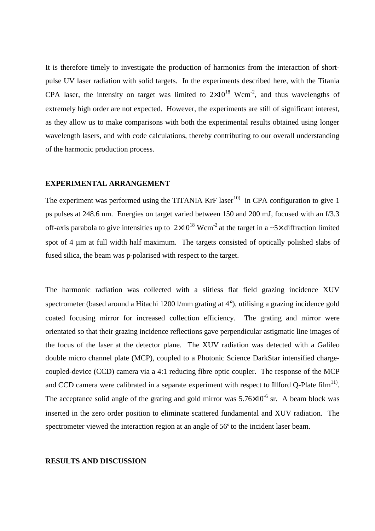It is therefore timely to investigate the production of harmonics from the interaction of shortpulse UV laser radiation with solid targets. In the experiments described here, with the Titania CPA laser, the intensity on target was limited to  $2\times10^{18}$  Wcm<sup>-2</sup>, and thus wavelengths of extremely high order are not expected. However, the experiments are still of significant interest, as they allow us to make comparisons with both the experimental results obtained using longer wavelength lasers, and with code calculations, thereby contributing to our overall understanding of the harmonic production process.

#### **EXPERIMENTAL ARRANGEMENT**

The experiment was performed using the TITANIA KrF laser<sup>10)</sup> in CPA configuration to give 1 ps pulses at 248.6 nm. Energies on target varied between 150 and 200 mJ, focused with an f/3.3 off-axis parabola to give intensities up to  $2\times10^{18}$  Wcm<sup>-2</sup> at the target in a ~5× diffraction limited spot of 4 µm at full width half maximum. The targets consisted of optically polished slabs of fused silica, the beam was p-polarised with respect to the target.

The harmonic radiation was collected with a slitless flat field grazing incidence XUV spectrometer (based around a Hitachi 1200 l/mm grating at 4°), utilising a grazing incidence gold coated focusing mirror for increased collection efficiency. The grating and mirror were orientated so that their grazing incidence reflections gave perpendicular astigmatic line images of the focus of the laser at the detector plane. The XUV radiation was detected with a Galileo double micro channel plate (MCP), coupled to a Photonic Science DarkStar intensified chargecoupled-device (CCD) camera via a 4:1 reducing fibre optic coupler. The response of the MCP and CCD camera were calibrated in a separate experiment with respect to Illford Q-Plate film<sup>11)</sup>. The acceptance solid angle of the grating and gold mirror was  $5.76\times10^{-6}$  sr. A beam block was inserted in the zero order position to eliminate scattered fundamental and XUV radiation. The spectrometer viewed the interaction region at an angle of 56º to the incident laser beam.

#### **RESULTS AND DISCUSSION**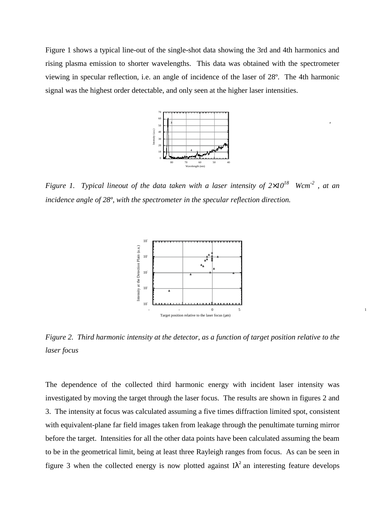Figure 1 shows a typical line-out of the single-shot data showing the 3rd and 4th harmonics and rising plasma emission to shorter wavelengths. This data was obtained with the spectrometer viewing in specular reflection, i.e. an angle of incidence of the laser of 28º. The 4th harmonic signal was the highest order detectable, and only seen at the higher laser intensities.



*Figure 1. Typical lineout of the data taken with a laser intensity of*  $2\times10^{18}$  *Wcm<sup>-2</sup>, at an incidence angle of 28º, with the spectrometer in the specular reflection direction*.



*Figure 2. Third harmonic intensity at the detector, as a function of target position relative to the laser focus*

The dependence of the collected third harmonic energy with incident laser intensity was investigated by moving the target through the laser focus. The results are shown in figures 2 and 3. The intensity at focus was calculated assuming a five times diffraction limited spot, consistent with equivalent-plane far field images taken from leakage through the penultimate turning mirror before the target. Intensities for all the other data points have been calculated assuming the beam to be in the geometrical limit, being at least three Rayleigh ranges from focus. As can be seen in figure 3 when the collected energy is now plotted against  $I\lambda^2$  an interesting feature develops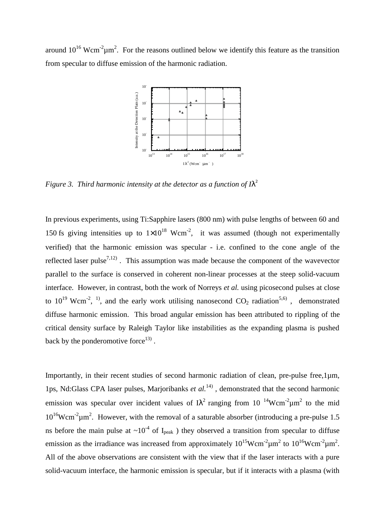around  $10^{16}$  Wcm<sup>-2</sup> $\mu$ m<sup>2</sup>. For the reasons outlined below we identify this feature as the transition from specular to diffuse emission of the harmonic radiation.



*Figure 3. Third harmonic intensity at the detector as a function of*  $\Lambda^2$ 

In previous experiments, using Ti:Sapphire lasers (800 nm) with pulse lengths of between 60 and 150 fs giving intensities up to  $1\times10^{18}$  Wcm<sup>-2</sup>, it was assumed (though not experimentally verified) that the harmonic emission was specular - i.e. confined to the cone angle of the reflected laser pulse<sup>7,12)</sup>. This assumption was made because the component of the wavevector parallel to the surface is conserved in coherent non-linear processes at the steep solid-vacuum interface. However, in contrast, both the work of Norreys *et al.* using picosecond pulses at close to  $10^{19}$  Wcm<sup>-2</sup>, <sup>1)</sup>, and the early work utilising nanosecond  $CO_2$  radiation<sup>5,6)</sup>, demonstrated diffuse harmonic emission. This broad angular emission has been attributed to rippling of the critical density surface by Raleigh Taylor like instabilities as the expanding plasma is pushed back by the ponderomotive force<sup>13)</sup>.

Importantly, in their recent studies of second harmonic radiation of clean, pre-pulse free,  $1\mu$ m, 1ps, Nd:Glass CPA laser pulses, Marjoribanks *et al.*14) , demonstrated that the second harmonic emission was specular over incident values of  $I\lambda^2$  ranging from 10  $\mathrm{^{14}Wcm^2\mu m^2}$  to the mid  $10^{16}$ Wcm<sup>-2</sup> $\mu$ m<sup>2</sup>. However, with the removal of a saturable absorber (introducing a pre-pulse 1.5 ns before the main pulse at  $\sim 10^{-4}$  of I<sub>peak</sub> ) they observed a transition from specular to diffuse emission as the irradiance was increased from approximately  $10^{15}$ Wcm<sup>-2</sup> $\mu$ m<sup>2</sup> to  $10^{16}$ Wcm<sup>-2</sup> $\mu$ m<sup>2</sup>. All of the above observations are consistent with the view that if the laser interacts with a pure solid-vacuum interface, the harmonic emission is specular, but if it interacts with a plasma (with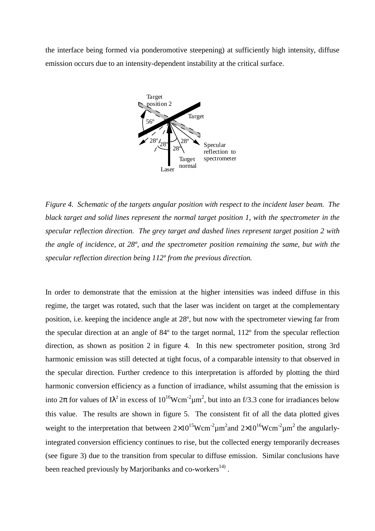the interface being formed via ponderomotive steepening) at sufficiently high intensity, diffuse emission occurs due to an intensity-dependent instability at the critical surface.



*Figure 4. Schematic of the targets angular position with respect to the incident laser beam. The black target and solid lines represent the normal target position 1, with the spectrometer in the specular reflection direction. The grey target and dashed lines represent target position 2 with the angle of incidence, at 28º, and the spectrometer position remaining the same, but with the specular reflection direction being 112º from the previous direction.*

In order to demonstrate that the emission at the higher intensities was indeed diffuse in this regime, the target was rotated, such that the laser was incident on target at the complementary position, i.e. keeping the incidence angle at 28º, but now with the spectrometer viewing far from the specular direction at an angle of 84º to the target normal, 112º from the specular reflection direction, as shown as position 2 in figure 4. In this new spectrometer position, strong 3rd harmonic emission was still detected at tight focus, of a comparable intensity to that observed in the specular direction. Further credence to this interpretation is afforded by plotting the third harmonic conversion efficiency as a function of irradiance, whilst assuming that the emission is into  $2\pi$  for values of I $\lambda^2$  in excess of  $10^{16}$ Wcm<sup>-2</sup> $\mu$ m<sup>2</sup>, but into an f/3.3 cone for irradiances below this value. The results are shown in figure 5. The consistent fit of all the data plotted gives weight to the interpretation that between  $2 \times 10^{15}$ Wcm<sup>-2</sup> $\mu$ m<sup>2</sup> and  $2 \times 10^{16}$ Wcm<sup>-2</sup> $\mu$ m<sup>2</sup> the angularlyintegrated conversion efficiency continues to rise, but the collected energy temporarily decreases (see figure 3) due to the transition from specular to diffuse emission. Similar conclusions have been reached previously by Marjoribanks and co-workers<sup>14)</sup>.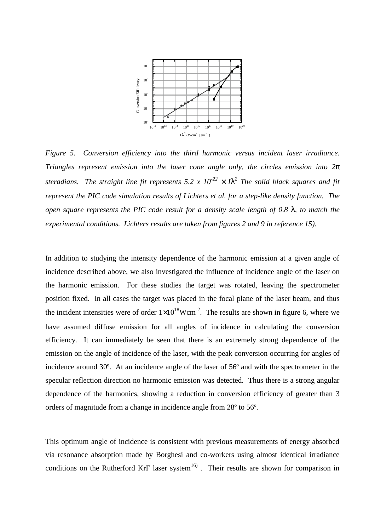

*Figure 5. Conversion efficiency into the third harmonic versus incident laser irradiance. Triangles represent emission into the laser cone angle only, the circles emission into 2*π steradians. The straight line fit represents 5.2 x  $10^{22} \times I\lambda^2$  The solid black squares and fit *represent the PIC code simulation results of Lichters et al. for a step-like density function. The open square represents the PIC code result for a density scale length of 0.8* λ*, to match the experimental conditions. Lichters results are taken from figures 2 and 9 in reference 15).*

In addition to studying the intensity dependence of the harmonic emission at a given angle of incidence described above, we also investigated the influence of incidence angle of the laser on the harmonic emission. For these studies the target was rotated, leaving the spectrometer position fixed. In all cases the target was placed in the focal plane of the laser beam, and thus the incident intensities were of order  $1\times10^{18}$ Wcm<sup>-2</sup>. The results are shown in figure 6, where we have assumed diffuse emission for all angles of incidence in calculating the conversion efficiency. It can immediately be seen that there is an extremely strong dependence of the emission on the angle of incidence of the laser, with the peak conversion occurring for angles of incidence around 30º. At an incidence angle of the laser of 56º and with the spectrometer in the specular reflection direction no harmonic emission was detected. Thus there is a strong angular dependence of the harmonics, showing a reduction in conversion efficiency of greater than 3 orders of magnitude from a change in incidence angle from 28º to 56º.

This optimum angle of incidence is consistent with previous measurements of energy absorbed via resonance absorption made by Borghesi and co-workers using almost identical irradiance conditions on the Rutherford KrF laser system<sup>16)</sup>. Their results are shown for comparison in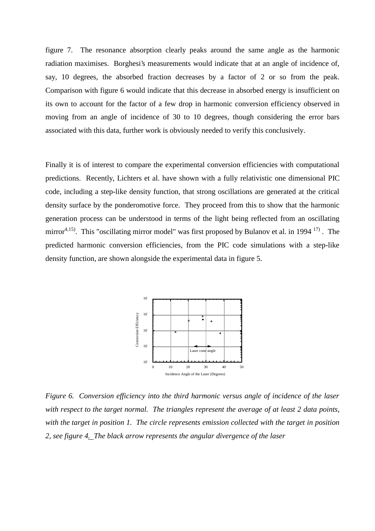figure 7. The resonance absorption clearly peaks around the same angle as the harmonic radiation maximises. Borghesi's measurements would indicate that at an angle of incidence of, say, 10 degrees, the absorbed fraction decreases by a factor of 2 or so from the peak. Comparison with figure 6 would indicate that this decrease in absorbed energy is insufficient on its own to account for the factor of a few drop in harmonic conversion efficiency observed in moving from an angle of incidence of 30 to 10 degrees, though considering the error bars associated with this data, further work is obviously needed to verify this conclusively.

Finally it is of interest to compare the experimental conversion efficiencies with computational predictions. Recently, Lichters et al. have shown with a fully relativistic one dimensional PIC code, including a step-like density function, that strong oscillations are generated at the critical density surface by the ponderomotive force. They proceed from this to show that the harmonic generation process can be understood in terms of the light being reflected from an oscillating mirror<sup>4,15)</sup>. This "oscillating mirror model" was first proposed by Bulanov et al. in 1994<sup>17)</sup>. The predicted harmonic conversion efficiencies, from the PIC code simulations with a step-like density function, are shown alongside the experimental data in figure 5.



*Figure 6. Conversion efficiency into the third harmonic versus angle of incidence of the laser with respect to the target normal. The triangles represent the average of at least 2 data points, with the target in position 1. The circle represents emission collected with the target in position 2, see figure 4. The black arrow represents the angular divergence of the laser*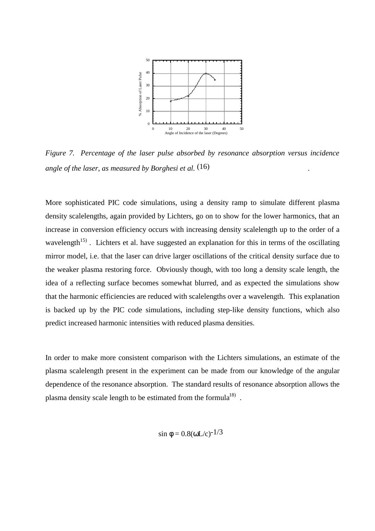

*Figure 7. Percentage of the laser pulse absorbed by resonance absorption versus incidence angle of the laser, as measured by Borghesi et al.* (16) .

More sophisticated PIC code simulations, using a density ramp to simulate different plasma density scalelengths, again provided by Lichters, go on to show for the lower harmonics, that an increase in conversion efficiency occurs with increasing density scalelength up to the order of a wavelength<sup>15)</sup>. Lichters et al. have suggested an explanation for this in terms of the oscillating mirror model, i.e. that the laser can drive larger oscillations of the critical density surface due to the weaker plasma restoring force. Obviously though, with too long a density scale length, the idea of a reflecting surface becomes somewhat blurred, and as expected the simulations show that the harmonic efficiencies are reduced with scalelengths over a wavelength. This explanation is backed up by the PIC code simulations, including step-like density functions, which also predict increased harmonic intensities with reduced plasma densities.

In order to make more consistent comparison with the Lichters simulations, an estimate of the plasma scalelength present in the experiment can be made from our knowledge of the angular dependence of the resonance absorption. The standard results of resonance absorption allows the plasma density scale length to be estimated from the formula<sup>18)</sup>.

$$
\sin \phi = 0.8(\omega L/c)^{-1/3}
$$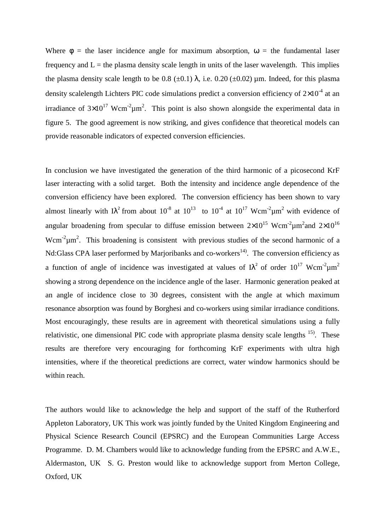Where  $\phi$  = the laser incidence angle for maximum absorption,  $\omega$  = the fundamental laser frequency and  $L =$  the plasma density scale length in units of the laser wavelength. This implies the plasma density scale length to be 0.8 ( $\pm$ 0.1)  $\lambda$ , i.e. 0.20 ( $\pm$ 0.02)  $\mu$ m. Indeed, for this plasma density scalelength Lichters PIC code simulations predict a conversion efficiency of  $2\times10^{-4}$  at an irradiance of  $3\times10^{17}$  Wcm<sup>-2</sup> $\mu$ m<sup>2</sup>. This point is also shown alongside the experimental data in figure 5. The good agreement is now striking, and gives confidence that theoretical models can provide reasonable indicators of expected conversion efficiencies.

In conclusion we have investigated the generation of the third harmonic of a picosecond KrF laser interacting with a solid target. Both the intensity and incidence angle dependence of the conversion efficiency have been explored. The conversion efficiency has been shown to vary almost linearly with I $\lambda^2$  from about 10<sup>-8</sup> at 10<sup>13</sup> to 10<sup>-4</sup> at 10<sup>17</sup> Wcm<sup>-2</sup> $\mu$ m<sup>2</sup> with evidence of angular broadening from specular to diffuse emission between  $2\times10^{15}$  Wcm<sup>-2</sup> $\mu$ m<sup>2</sup>and  $2\times10^{16}$ Wcm<sup>-2</sup> $\mu$ m<sup>2</sup>. This broadening is consistent with previous studies of the second harmonic of a Nd:Glass CPA laser performed by Marjoribanks and co-workers<sup>14)</sup>. The conversion efficiency as a function of angle of incidence was investigated at values of  $\lambda^2$  of order  $10^{17}$  Wcm<sup>-2</sup> $\mu$ m<sup>2</sup> showing a strong dependence on the incidence angle of the laser. Harmonic generation peaked at an angle of incidence close to 30 degrees, consistent with the angle at which maximum resonance absorption was found by Borghesi and co-workers using similar irradiance conditions. Most encouragingly, these results are in agreement with theoretical simulations using a fully relativistic, one dimensional PIC code with appropriate plasma density scale lengths  $^{15}$ . These results are therefore very encouraging for forthcoming KrF experiments with ultra high intensities, where if the theoretical predictions are correct, water window harmonics should be within reach.

The authors would like to acknowledge the help and support of the staff of the Rutherford Appleton Laboratory, UK This work was jointly funded by the United Kingdom Engineering and Physical Science Research Council (EPSRC) and the European Communities Large Access Programme. D. M. Chambers would like to acknowledge funding from the EPSRC and A.W.E., Aldermaston, UK S. G. Preston would like to acknowledge support from Merton College, Oxford, UK